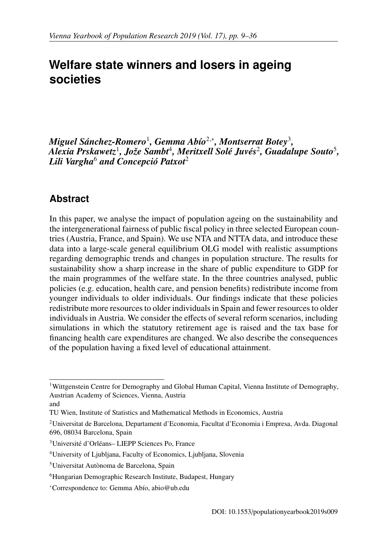# <span id="page-0-0"></span>**Welfare state winners and losers in ageing societies**

*Miguel Sánchez-Romero* $^1$  $^1$ *, Gemma Abío* $^{2,*}$  $^{2,*}$  $^{2,*}$ *, Montserrat Botey* $^3$  $^3$ *,* Alexia Prskawetz<sup>[1](#page-0-1)</sup>, Jože Sambt<sup>[4](#page-0-4)</sup>, Meritxell Solé Juvés<sup>[2](#page-0-2)</sup>, Guadalupe Souto<sup>[5](#page-0-5)</sup>,  $L$ ili Vargha $^6$  $^6$  and Concepció Patxot $^2$  $^2$ 

## **Abstract**

In this paper, we analyse the impact of population ageing on the sustainability and the intergenerational fairness of public fiscal policy in three selected European countries (Austria, France, and Spain). We use NTA and NTTA data, and introduce these data into a large-scale general equilibrium OLG model with realistic assumptions regarding demographic trends and changes in population structure. The results for sustainability show a sharp increase in the share of public expenditure to GDP for the main programmes of the welfare state. In the three countries analysed, public policies (e.g. education, health care, and pension benefits) redistribute income from younger individuals to older individuals. Our findings indicate that these policies redistribute more resources to older individuals in Spain and fewer resources to older individuals in Austria. We consider the effects of several reform scenarios, including simulations in which the statutory retirement age is raised and the tax base for financing health care expenditures are changed. We also describe the consequences of the population having a fixed level of educational attainment.

<span id="page-0-1"></span><sup>&</sup>lt;sup>1</sup>Wittgenstein Centre for Demography and Global Human Capital, Vienna Institute of Demography, Austrian Academy of Sciences, Vienna, Austria

and

TU Wien, Institute of Statistics and Mathematical Methods in Economics, Austria

<span id="page-0-2"></span><sup>2</sup>Universitat de Barcelona, Departament d'Economia, Facultat d'Economia i Empresa, Avda. Diagonal 696, 08034 Barcelona, Spain

<span id="page-0-3"></span><sup>&</sup>lt;sup>3</sup>Université d'Orléans– LIEPP Sciences Po, France

<span id="page-0-4"></span><sup>4</sup>University of Ljubljana, Faculty of Economics, Ljubljana, Slovenia

<span id="page-0-5"></span><sup>&</sup>lt;sup>5</sup>Universitat Autònoma de Barcelona, Spain

<span id="page-0-6"></span><sup>6</sup>Hungarian Demographic Research Institute, Budapest, Hungary

<sup>∗</sup>Correspondence to: Gemma Ab´ıo, abio@ub.edu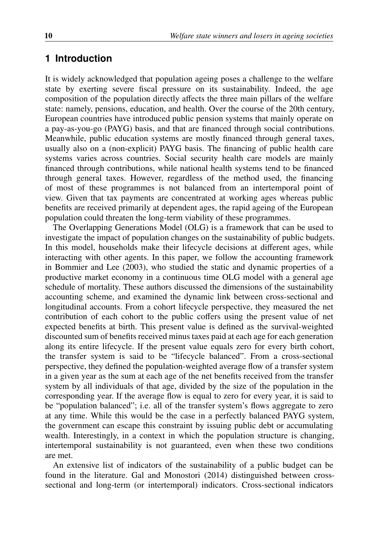## **1 Introduction**

It is widely acknowledged that population ageing poses a challenge to the welfare state by exerting severe fiscal pressure on its sustainability. Indeed, the age composition of the population directly affects the three main pillars of the welfare state: namely, pensions, education, and health. Over the course of the 20th century, European countries have introduced public pension systems that mainly operate on a pay-as-you-go (PAYG) basis, and that are financed through social contributions. Meanwhile, public education systems are mostly financed through general taxes, usually also on a (non-explicit) PAYG basis. The financing of public health care systems varies across countries. Social security health care models are mainly financed through contributions, while national health systems tend to be financed through general taxes. However, regardless of the method used, the financing of most of these programmes is not balanced from an intertemporal point of view. Given that tax payments are concentrated at working ages whereas public benefits are received primarily at dependent ages, the rapid ageing of the European population could threaten the long-term viability of these programmes.

The Overlapping Generations Model (OLG) is a framework that can be used to investigate the impact of population changes on the sustainability of public budgets. In this model, households make their lifecycle decisions at different ages, while interacting with other agents. In this paper, we follow the accounting framework in [Bommier and Lee](#page-24-0) [\(2003\)](#page-24-0), who studied the static and dynamic properties of a productive market economy in a continuous time OLG model with a general age schedule of mortality. These authors discussed the dimensions of the sustainability accounting scheme, and examined the dynamic link between cross-sectional and longitudinal accounts. From a cohort lifecycle perspective, they measured the net contribution of each cohort to the public coffers using the present value of net expected benefits at birth. This present value is defined as the survival-weighted discounted sum of benefits received minus taxes paid at each age for each generation along its entire lifecycle. If the present value equals zero for every birth cohort, the transfer system is said to be "lifecycle balanced". From a cross-sectional perspective, they defined the population-weighted average flow of a transfer system in a given year as the sum at each age of the net benefits received from the transfer system by all individuals of that age, divided by the size of the population in the corresponding year. If the average flow is equal to zero for every year, it is said to be "population balanced"; i.e. all of the transfer system's flows aggregate to zero at any time. While this would be the case in a perfectly balanced PAYG system, the government can escape this constraint by issuing public debt or accumulating wealth. Interestingly, in a context in which the population structure is changing, intertemporal sustainability is not guaranteed, even when these two conditions are met.

An extensive list of indicators of the sustainability of a public budget can be found in the literature. [Gal and Monostori](#page-24-1) [\(2014\)](#page-24-1) distinguished between crosssectional and long-term (or intertemporal) indicators. Cross-sectional indicators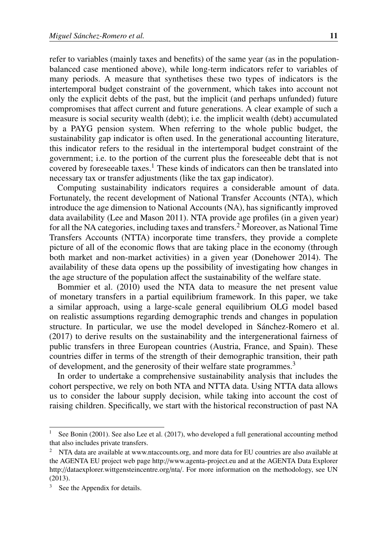refer to variables (mainly taxes and benefits) of the same year (as in the populationbalanced case mentioned above), while long-term indicators refer to variables of many periods. A measure that synthetises these two types of indicators is the intertemporal budget constraint of the government, which takes into account not only the explicit debts of the past, but the implicit (and perhaps unfunded) future compromises that affect current and future generations. A clear example of such a measure is social security wealth (debt); i.e. the implicit wealth (debt) accumulated by a PAYG pension system. When referring to the whole public budget, the sustainability gap indicator is often used. In the generational accounting literature, this indicator refers to the residual in the intertemporal budget constraint of the government; i.e. to the portion of the current plus the foreseeable debt that is not covered by foreseeable taxes.<sup>[1](#page-2-0)</sup> These kinds of indicators can then be translated into necessary tax or transfer adjustments (like the tax gap indicator).

Computing sustainability indicators requires a considerable amount of data. Fortunately, the recent development of National Transfer Accounts (NTA), which introduce the age dimension to National Accounts (NA), has significantly improved data availability [\(Lee and Mason 2011\)](#page-25-0). NTA provide age profiles (in a given year) for all the NA categories, including taxes and transfers.[2](#page-2-1) Moreover, as National Time Transfers Accounts (NTTA) incorporate time transfers, they provide a complete picture of all of the economic flows that are taking place in the economy (through both market and non-market activities) in a given year [\(Donehower 2014\)](#page-24-2). The availability of these data opens up the possibility of investigating how changes in the age structure of the population affect the sustainability of the welfare state.

[Bommier et al.](#page-24-3) [\(2010\)](#page-24-3) used the NTA data to measure the net present value of monetary transfers in a partial equilibrium framework. In this paper, we take a similar approach, using a large-scale general equilibrium OLG model based on realistic assumptions regarding demographic trends and changes in population structure. In particular, we use the model developed in Sánchez-Romero et al. [\(2017\)](#page-25-1) to derive results on the sustainability and the intergenerational fairness of public transfers in three European countries (Austria, France, and Spain). These countries differ in terms of the strength of their demographic transition, their path of development, and the generosity of their welfare state programmes.<sup>[3](#page-2-2)</sup>

In order to undertake a comprehensive sustainability analysis that includes the cohort perspective, we rely on both NTA and NTTA data. Using NTTA data allows us to consider the labour supply decision, while taking into account the cost of raising children. Specifically, we start with the historical reconstruction of past NA

<span id="page-2-0"></span>See [Bonin](#page-24-4) [\(2001\)](#page-24-4). See also [Lee et al.](#page-25-2) [\(2017\)](#page-25-2), who developed a full generational accounting method that also includes private transfers.

<span id="page-2-1"></span><sup>&</sup>lt;sup>2</sup> NTA data are available at [www.ntaccounts.org,](www.ntaccounts.org) and more data for EU countries are also available at the AGENTA EU project web page http://[www.agenta-project.eu](http://www.agenta-project.eu) and at the AGENTA Data Explorer http://[dataexplorer.wittgensteincentre.org](http://dataexplorer.wittgensteincentre.org/nta/)/nta/. For more information on the methodology, see [UN](#page-25-3) [\(2013\)](#page-25-3).

<span id="page-2-2"></span>See the Appendix for details.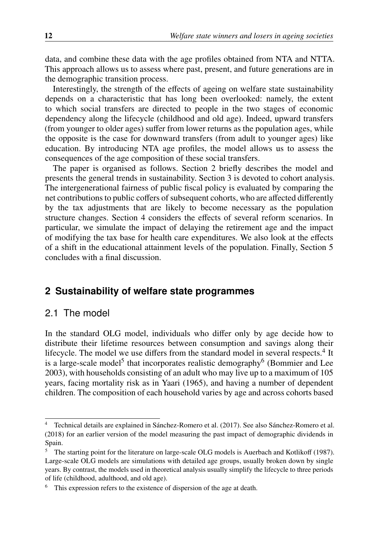data, and combine these data with the age profiles obtained from NTA and NTTA. This approach allows us to assess where past, present, and future generations are in the demographic transition process.

Interestingly, the strength of the effects of ageing on welfare state sustainability depends on a characteristic that has long been overlooked: namely, the extent to which social transfers are directed to people in the two stages of economic dependency along the lifecycle (childhood and old age). Indeed, upward transfers (from younger to older ages) suffer from lower returns as the population ages, while the opposite is the case for downward transfers (from adult to younger ages) like education. By introducing NTA age profiles, the model allows us to assess the consequences of the age composition of these social transfers.

The paper is organised as follows. Section [2](#page-3-0) briefly describes the model and presents the general trends in sustainability. Section [3](#page-8-0) is devoted to cohort analysis. The intergenerational fairness of public fiscal policy is evaluated by comparing the net contributions to public coffers of subsequent cohorts, who are affected differently by the tax adjustments that are likely to become necessary as the population structure changes. Section [4](#page-14-0) considers the effects of several reform scenarios. In particular, we simulate the impact of delaying the retirement age and the impact of modifying the tax base for health care expenditures. We also look at the effects of a shift in the educational attainment levels of the population. Finally, Section [5](#page-22-0) concludes with a final discussion.

## <span id="page-3-0"></span>**2 Sustainability of welfare state programmes**

### 2.1 The model

In the standard OLG model, individuals who differ only by age decide how to distribute their lifetime resources between consumption and savings along their lifecycle. The model we use differs from the standard model in several respects.<sup>[4](#page-3-1)</sup> It is a large-scale model<sup>[5](#page-3-2)</sup> that incorporates realistic demography<sup>[6](#page-3-3)</sup> [\(Bommier and Lee](#page-24-0) [2003\)](#page-24-0), with households consisting of an adult who may live up to a maximum of 105 years, facing mortality risk as in [Yaari](#page-25-4) [\(1965\)](#page-25-4), and having a number of dependent children. The composition of each household varies by age and across cohorts based

<span id="page-3-1"></span>Technical details are explained in Sánchez-Romero et al. [\(2017\)](#page-25-1). See also Sánchez-Romero et al. [\(2018\)](#page-25-5) for an earlier version of the model measuring the past impact of demographic dividends in Spain.

<span id="page-3-2"></span><sup>&</sup>lt;sup>5</sup> The starting point for the literature on large-scale OLG models is [Auerbach and Kotliko](#page-24-5)ff [\(1987\)](#page-24-5). Large-scale OLG models are simulations with detailed age groups, usually broken down by single years. By contrast, the models used in theoretical analysis usually simplify the lifecycle to three periods of life (childhood, adulthood, and old age).

<span id="page-3-3"></span>This expression refers to the existence of dispersion of the age at death.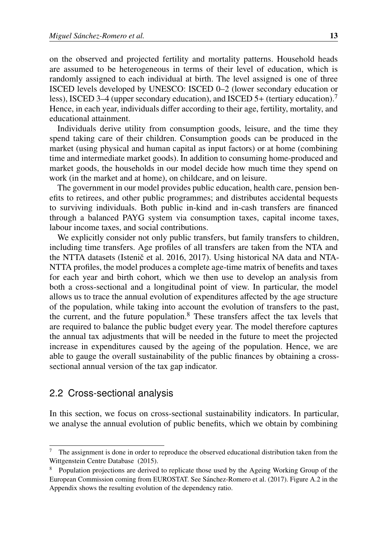on the observed and projected fertility and mortality patterns. Household heads are assumed to be heterogeneous in terms of their level of education, which is randomly assigned to each individual at birth. The level assigned is one of three ISCED levels developed by UNESCO: ISCED 0–2 (lower secondary education or less), ISCED 3–4 (upper secondary education), and ISCED 5+ (tertiary education).<sup>[7](#page-4-0)</sup> Hence, in each year, individuals differ according to their age, fertility, mortality, and educational attainment.

Individuals derive utility from consumption goods, leisure, and the time they spend taking care of their children. Consumption goods can be produced in the market (using physical and human capital as input factors) or at home (combining time and intermediate market goods). In addition to consuming home-produced and market goods, the households in our model decide how much time they spend on work (in the market and at home), on childcare, and on leisure.

The government in our model provides public education, health care, pension benefits to retirees, and other public programmes; and distributes accidental bequests to surviving individuals. Both public in-kind and in-cash transfers are financed through a balanced PAYG system via consumption taxes, capital income taxes, labour income taxes, and social contributions.

We explicitly consider not only public transfers, but family transfers to children, including time transfers. Age profiles of all transfers are taken from the NTA and the NTTA datasets (Istenic et al.  $2016$ ,  $2017$ ). Using historical NA data and NTA-NTTA profiles, the model produces a complete age-time matrix of benefits and taxes for each year and birth cohort, which we then use to develop an analysis from both a cross-sectional and a longitudinal point of view. In particular, the model allows us to trace the annual evolution of expenditures affected by the age structure of the population, while taking into account the evolution of transfers to the past, the current, and the future population. $8$  These transfers affect the tax levels that are required to balance the public budget every year. The model therefore captures the annual tax adjustments that will be needed in the future to meet the projected increase in expenditures caused by the ageing of the population. Hence, we are able to gauge the overall sustainability of the public finances by obtaining a crosssectional annual version of the tax gap indicator.

## 2.2 Cross-sectional analysis

In this section, we focus on cross-sectional sustainability indicators. In particular, we analyse the annual evolution of public benefits, which we obtain by combining

<span id="page-4-0"></span><sup>7</sup> The assignment is done in order to reproduce the observed educational distribution taken from the [Wittgenstein Centre Database](#page-25-8) [\(2015\)](#page-25-8).

<span id="page-4-1"></span><sup>&</sup>lt;sup>8</sup> Population projections are derived to replicate those used by the Ageing Working Group of the European Commission coming from EUROSTAT. See [Sanchez-Romero et al.](#page-25-1) [\(2017\)](#page-25-1). Figure [A.2](#page-26-0) in the ´ Appendix shows the resulting evolution of the dependency ratio.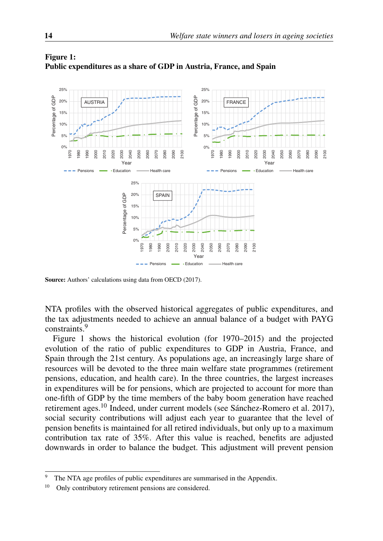

<span id="page-5-1"></span>

Source: Authors' calculations using data from [OECD](#page-25-9) [\(2017\)](#page-25-9).

NTA profiles with the observed historical aggregates of public expenditures, and the tax adjustments needed to achieve an annual balance of a budget with PAYG constraints.[9](#page-5-0)

Figure [1](#page-5-1) shows the historical evolution (for 1970–2015) and the projected evolution of the ratio of public expenditures to GDP in Austria, France, and Spain through the 21st century. As populations age, an increasingly large share of resources will be devoted to the three main welfare state programmes (retirement pensions, education, and health care). In the three countries, the largest increases in expenditures will be for pensions, which are projected to account for more than one-fifth of GDP by the time members of the baby boom generation have reached retirement ages.<sup>[10](#page-5-2)</sup> Indeed, under current models (see Sánchez-Romero et al. 2017), social security contributions will adjust each year to guarantee that the level of pension benefits is maintained for all retired individuals, but only up to a maximum contribution tax rate of 35%. After this value is reached, benefits are adjusted downwards in order to balance the budget. This adjustment will prevent pension

<span id="page-5-0"></span><sup>&</sup>lt;sup>9</sup> The NTA age profiles of public expenditures are summarised in the Appendix.<br> $\frac{10}{2}$  Only contributory retirement pensions are considered

<span id="page-5-2"></span><sup>10</sup> Only contributory retirement pensions are considered.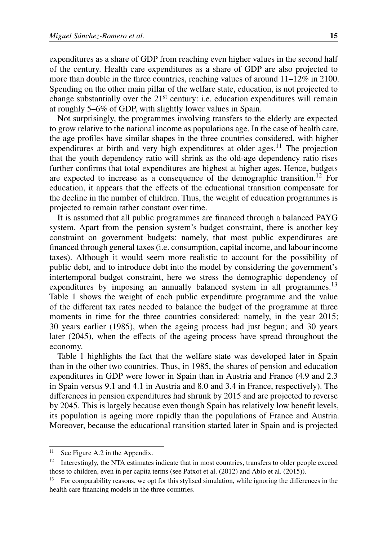expenditures as a share of GDP from reaching even higher values in the second half of the century. Health care expenditures as a share of GDP are also projected to more than double in the three countries, reaching values of around 11–12% in 2100. Spending on the other main pillar of the welfare state, education, is not projected to change substantially over the  $21<sup>st</sup>$  century: i.e. education expenditures will remain at roughly 5–6% of GDP, with slightly lower values in Spain.

Not surprisingly, the programmes involving transfers to the elderly are expected to grow relative to the national income as populations age. In the case of health care, the age profiles have similar shapes in the three countries considered, with higher expenditures at birth and very high expenditures at older ages.<sup>[11](#page-6-0)</sup> The projection that the youth dependency ratio will shrink as the old-age dependency ratio rises further confirms that total expenditures are highest at higher ages. Hence, budgets are expected to increase as a consequence of the demographic transition.<sup>[12](#page-6-1)</sup> For education, it appears that the effects of the educational transition compensate for the decline in the number of children. Thus, the weight of education programmes is projected to remain rather constant over time.

It is assumed that all public programmes are financed through a balanced PAYG system. Apart from the pension system's budget constraint, there is another key constraint on government budgets: namely, that most public expenditures are financed through general taxes (i.e. consumption, capital income, and labour income taxes). Although it would seem more realistic to account for the possibility of public debt, and to introduce debt into the model by considering the government's intertemporal budget constraint, here we stress the demographic dependency of expenditures by imposing an annually balanced system in all programmes.<sup>[13](#page-6-2)</sup> Table [1](#page-7-0) shows the weight of each public expenditure programme and the value of the different tax rates needed to balance the budget of the programme at three moments in time for the three countries considered: namely, in the year 2015; 30 years earlier (1985), when the ageing process had just begun; and 30 years later (2045), when the effects of the ageing process have spread throughout the economy.

Table [1](#page-7-0) highlights the fact that the welfare state was developed later in Spain than in the other two countries. Thus, in 1985, the shares of pension and education expenditures in GDP were lower in Spain than in Austria and France (4.9 and 2.3 in Spain versus 9.1 and 4.1 in Austria and 8.0 and 3.4 in France, respectively). The differences in pension expenditures had shrunk by 2015 and are projected to reverse by 2045. This is largely because even though Spain has relatively low benefit levels, its population is ageing more rapidly than the populations of France and Austria. Moreover, because the educational transition started later in Spain and is projected

<span id="page-6-0"></span><sup>&</sup>lt;sup>11</sup> See Figure [A.2](#page-26-0) in the Appendix.

<span id="page-6-1"></span><sup>12</sup> Interestingly, the NTA estimates indicate that in most countries, transfers to older people exceed those to children, even in per capita terms (see [Patxot et al.](#page-25-10) [\(2012\)](#page-25-10) and Abío et al. [\(2015\)](#page-24-6)).

<span id="page-6-2"></span><sup>&</sup>lt;sup>13</sup> For comparability reasons, we opt for this stylised simulation, while ignoring the differences in the health care financing models in the three countries.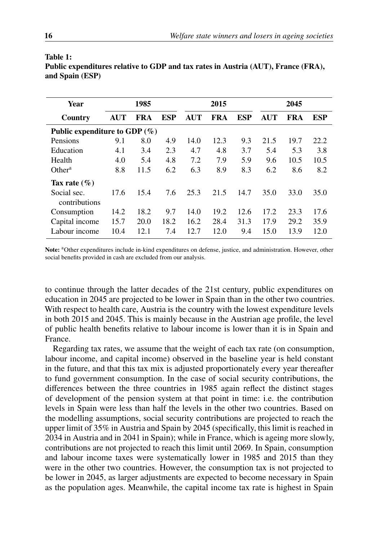| <b>Year</b>                      | 1985       |            |            |            | 2015 |            | 2045       |      |      |  |
|----------------------------------|------------|------------|------------|------------|------|------------|------------|------|------|--|
| Country                          | <b>AUT</b> | <b>FRA</b> | <b>ESP</b> | <b>AUT</b> | FRA  | <b>ESP</b> | <b>AUT</b> | FRA  | ESP  |  |
| Public expenditure to GDP $(\%)$ |            |            |            |            |      |            |            |      |      |  |
| Pensions                         | 9.1        | 8.0        | 4.9        | 14.0       | 12.3 | 9.3        | 21.5       | 19.7 | 22.2 |  |
| Education                        | 4.1        | 3.4        | 2.3        | 4.7        | 4.8  | 3.7        | 5.4        | 5.3  | 3.8  |  |
| Health                           | 4.0        | 5.4        | 4.8        | 7.2        | 7.9  | 5.9        | 9.6        | 10.5 | 10.5 |  |
| Other <sup>a</sup>               | 8.8        | 11.5       | 6.2        | 6.3        | 8.9  | 8.3        | 6.2        | 8.6  | 8.2  |  |
| Tax rate $(\% )$                 |            |            |            |            |      |            |            |      |      |  |
| Social sec.<br>contributions     | 17.6       | 15.4       | 7.6        | 25.3       | 21.5 | 14.7       | 35.0       | 33.0 | 35.0 |  |
| Consumption                      | 14.2       | 18.2       | 9.7        | 14.0       | 19.2 | 12.6       | 17.2       | 23.3 | 17.6 |  |
| Capital income                   | 15.7       | 20.0       | 18.2       | 16.2       | 28.4 | 31.3       | 17.9       | 29.2 | 35.9 |  |
| Labour income                    | 10.4       | 12.1       | 7.4        | 12.7       | 12.0 | 9.4        | 15.0       | 13.9 | 12.0 |  |

| Public expenditures relative to GDP and tax rates in Austria (AUT), France (FRA), |  |
|-----------------------------------------------------------------------------------|--|
| and Spain (ESP)                                                                   |  |

Note: <sup>a</sup>Other expenditures include in-kind expenditures on defense, justice, and administration. However, other social benefits provided in cash are excluded from our analysis.

to continue through the latter decades of the 21st century, public expenditures on education in 2045 are projected to be lower in Spain than in the other two countries. With respect to health care, Austria is the country with the lowest expenditure levels in both 2015 and 2045. This is mainly because in the Austrian age profile, the level of public health benefits relative to labour income is lower than it is in Spain and France.

Regarding tax rates, we assume that the weight of each tax rate (on consumption, labour income, and capital income) observed in the baseline year is held constant in the future, and that this tax mix is adjusted proportionately every year thereafter to fund government consumption. In the case of social security contributions, the differences between the three countries in 1985 again reflect the distinct stages of development of the pension system at that point in time: i.e. the contribution levels in Spain were less than half the levels in the other two countries. Based on the modelling assumptions, social security contributions are projected to reach the upper limit of 35% in Austria and Spain by 2045 (specifically, this limit is reached in 2034 in Austria and in 2041 in Spain); while in France, which is ageing more slowly, contributions are not projected to reach this limit until 2069. In Spain, consumption and labour income taxes were systematically lower in 1985 and 2015 than they were in the other two countries. However, the consumption tax is not projected to be lower in 2045, as larger adjustments are expected to become necessary in Spain as the population ages. Meanwhile, the capital income tax rate is highest in Spain

<span id="page-7-0"></span>Table 1: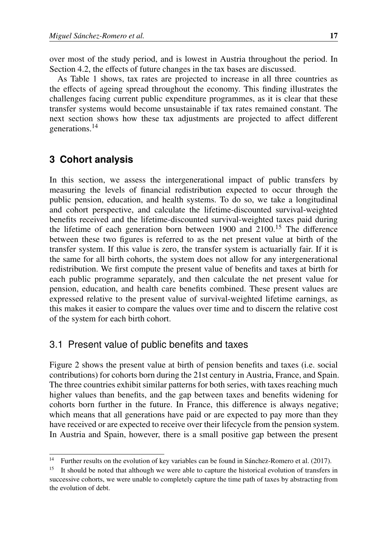over most of the study period, and is lowest in Austria throughout the period. In Section [4.2,](#page-18-0) the effects of future changes in the tax bases are discussed.

As Table [1](#page-7-0) shows, tax rates are projected to increase in all three countries as the effects of ageing spread throughout the economy. This finding illustrates the challenges facing current public expenditure programmes, as it is clear that these transfer systems would become unsustainable if tax rates remained constant. The next section shows how these tax adjustments are projected to affect different generations.[14](#page-8-1)

## <span id="page-8-0"></span>**3 Cohort analysis**

In this section, we assess the intergenerational impact of public transfers by measuring the levels of financial redistribution expected to occur through the public pension, education, and health systems. To do so, we take a longitudinal and cohort perspective, and calculate the lifetime-discounted survival-weighted benefits received and the lifetime-discounted survival-weighted taxes paid during the lifetime of each generation born between 1900 and 2100.[15](#page-8-2) The difference between these two figures is referred to as the net present value at birth of the transfer system. If this value is zero, the transfer system is actuarially fair. If it is the same for all birth cohorts, the system does not allow for any intergenerational redistribution. We first compute the present value of benefits and taxes at birth for each public programme separately, and then calculate the net present value for pension, education, and health care benefits combined. These present values are expressed relative to the present value of survival-weighted lifetime earnings, as this makes it easier to compare the values over time and to discern the relative cost of the system for each birth cohort.

## 3.1 Present value of public benefits and taxes

Figure [2](#page-9-0) shows the present value at birth of pension benefits and taxes (i.e. social contributions) for cohorts born during the 21st century in Austria, France, and Spain. The three countries exhibit similar patterns for both series, with taxes reaching much higher values than benefits, and the gap between taxes and benefits widening for cohorts born further in the future. In France, this difference is always negative; which means that all generations have paid or are expected to pay more than they have received or are expected to receive over their lifecycle from the pension system. In Austria and Spain, however, there is a small positive gap between the present

<span id="page-8-1"></span><sup>&</sup>lt;sup>14</sup> Further results on the evolution of key variables can be found in Sánchez-Romero et al. [\(2017\)](#page-25-1).

<span id="page-8-2"></span><sup>&</sup>lt;sup>15</sup> It should be noted that although we were able to capture the historical evolution of transfers in successive cohorts, we were unable to completely capture the time path of taxes by abstracting from the evolution of debt.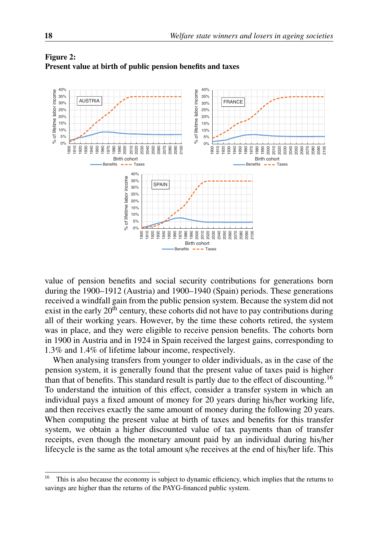

#### <span id="page-9-0"></span>Figure 2: Present value at birth of public pension benefits and taxes

value of pension benefits and social security contributions for generations born during the 1900–1912 (Austria) and 1900–1940 (Spain) periods. These generations received a windfall gain from the public pension system. Because the system did not exist in the early  $20<sup>th</sup>$  century, these cohorts did not have to pay contributions during all of their working years. However, by the time these cohorts retired, the system was in place, and they were eligible to receive pension benefits. The cohorts born in 1900 in Austria and in 1924 in Spain received the largest gains, corresponding to 1.3% and 1.4% of lifetime labour income, respectively.

When analysing transfers from younger to older individuals, as in the case of the pension system, it is generally found that the present value of taxes paid is higher than that of benefits. This standard result is partly due to the effect of discounting.[16](#page-9-1) To understand the intuition of this effect, consider a transfer system in which an individual pays a fixed amount of money for 20 years during his/her working life, and then receives exactly the same amount of money during the following 20 years. When computing the present value at birth of taxes and benefits for this transfer system, we obtain a higher discounted value of tax payments than of transfer receipts, even though the monetary amount paid by an individual during his/her lifecycle is the same as the total amount s/he receives at the end of his/her life. This

<span id="page-9-1"></span><sup>&</sup>lt;sup>16</sup> This is also because the economy is subject to dynamic efficiency, which implies that the returns to savings are higher than the returns of the PAYG-financed public system.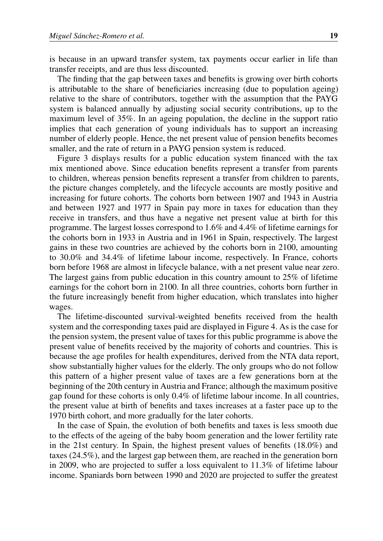is because in an upward transfer system, tax payments occur earlier in life than transfer receipts, and are thus less discounted.

The finding that the gap between taxes and benefits is growing over birth cohorts is attributable to the share of beneficiaries increasing (due to population ageing) relative to the share of contributors, together with the assumption that the PAYG system is balanced annually by adjusting social security contributions, up to the maximum level of 35%. In an ageing population, the decline in the support ratio implies that each generation of young individuals has to support an increasing number of elderly people. Hence, the net present value of pension benefits becomes smaller, and the rate of return in a PAYG pension system is reduced.

Figure [3](#page-11-0) displays results for a public education system financed with the tax mix mentioned above. Since education benefits represent a transfer from parents to children, whereas pension benefits represent a transfer from children to parents, the picture changes completely, and the lifecycle accounts are mostly positive and increasing for future cohorts. The cohorts born between 1907 and 1943 in Austria and between 1927 and 1977 in Spain pay more in taxes for education than they receive in transfers, and thus have a negative net present value at birth for this programme. The largest losses correspond to 1.6% and 4.4% of lifetime earnings for the cohorts born in 1933 in Austria and in 1961 in Spain, respectively. The largest gains in these two countries are achieved by the cohorts born in 2100, amounting to 30.0% and 34.4% of lifetime labour income, respectively. In France, cohorts born before 1968 are almost in lifecycle balance, with a net present value near zero. The largest gains from public education in this country amount to 25% of lifetime earnings for the cohort born in 2100. In all three countries, cohorts born further in the future increasingly benefit from higher education, which translates into higher wages.

The lifetime-discounted survival-weighted benefits received from the health system and the corresponding taxes paid are displayed in Figure [4.](#page-12-0) As is the case for the pension system, the present value of taxes for this public programme is above the present value of benefits received by the majority of cohorts and countries. This is because the age profiles for health expenditures, derived from the NTA data report, show substantially higher values for the elderly. The only groups who do not follow this pattern of a higher present value of taxes are a few generations born at the beginning of the 20th century in Austria and France; although the maximum positive gap found for these cohorts is only 0.4% of lifetime labour income. In all countries, the present value at birth of benefits and taxes increases at a faster pace up to the 1970 birth cohort, and more gradually for the later cohorts.

In the case of Spain, the evolution of both benefits and taxes is less smooth due to the effects of the ageing of the baby boom generation and the lower fertility rate in the 21st century. In Spain, the highest present values of benefits (18.0%) and taxes (24.5%), and the largest gap between them, are reached in the generation born in 2009, who are projected to suffer a loss equivalent to 11.3% of lifetime labour income. Spaniards born between 1990 and 2020 are projected to suffer the greatest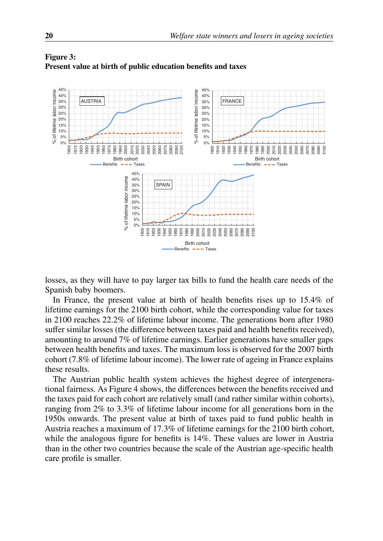

#### <span id="page-11-0"></span>Figure 3: Present value at birth of public education benefits and taxes

losses, as they will have to pay larger tax bills to fund the health care needs of the Spanish baby boomers.

In France, the present value at birth of health benefits rises up to 15.4% of lifetime earnings for the 2100 birth cohort, while the corresponding value for taxes in 2100 reaches 22.2% of lifetime labour income. The generations born after 1980 suffer similar losses (the difference between taxes paid and health benefits received), amounting to around 7% of lifetime earnings. Earlier generations have smaller gaps between health benefits and taxes. The maximum loss is observed for the 2007 birth cohort (7.8% of lifetime labour income). The lower rate of ageing in France explains these results.

The Austrian public health system achieves the highest degree of intergenerational fairness. As Figure [4](#page-12-0) shows, the differences between the benefits received and the taxes paid for each cohort are relatively small (and rather similar within cohorts), ranging from 2% to 3.3% of lifetime labour income for all generations born in the 1950s onwards. The present value at birth of taxes paid to fund public health in Austria reaches a maximum of 17.3% of lifetime earnings for the 2100 birth cohort, while the analogous figure for benefits is 14%. These values are lower in Austria than in the other two countries because the scale of the Austrian age-specific health care profile is smaller.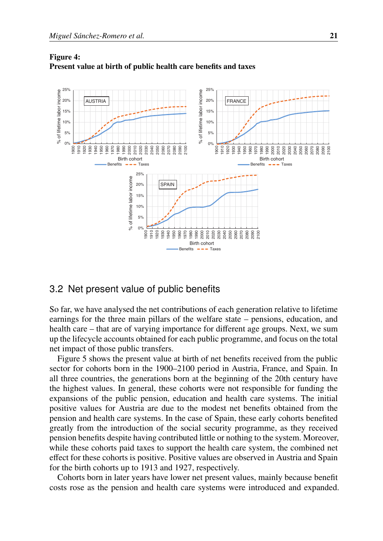

#### <span id="page-12-0"></span>Figure 4: Present value at birth of public health care benefits and taxes

### 3.2 Net present value of public benefits

So far, we have analysed the net contributions of each generation relative to lifetime earnings for the three main pillars of the welfare state – pensions, education, and health care – that are of varying importance for different age groups. Next, we sum up the lifecycle accounts obtained for each public programme, and focus on the total net impact of those public transfers.

Figure [5](#page-13-0) shows the present value at birth of net benefits received from the public sector for cohorts born in the 1900–2100 period in Austria, France, and Spain. In all three countries, the generations born at the beginning of the 20th century have the highest values. In general, these cohorts were not responsible for funding the expansions of the public pension, education and health care systems. The initial positive values for Austria are due to the modest net benefits obtained from the pension and health care systems. In the case of Spain, these early cohorts benefited greatly from the introduction of the social security programme, as they received pension benefits despite having contributed little or nothing to the system. Moreover, while these cohorts paid taxes to support the health care system, the combined net effect for these cohorts is positive. Positive values are observed in Austria and Spain for the birth cohorts up to 1913 and 1927, respectively.

Cohorts born in later years have lower net present values, mainly because benefit costs rose as the pension and health care systems were introduced and expanded.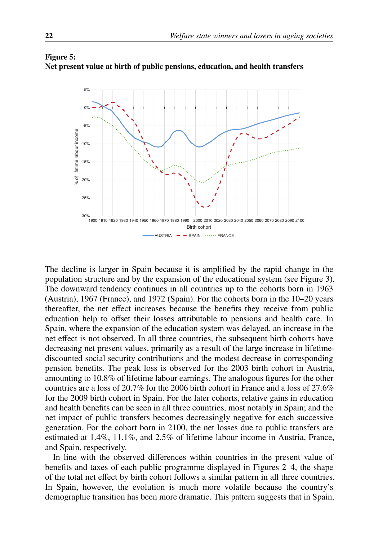## 5%  $0<sup>0</sup>$ -5% of lifetime labour income % of lifetime labour income -10% -15% -20%  $\geq$ -25% -30% 1900 1980 1990 2000 2010 2020 2030 2040 2050 1910 1920 1930 1940 1950 1960 1970 2060 2070 2080 2090 2100 Birth cohort  $-AUSTRIA$   $-SPAIN$   $\cdots$  FRANCE

#### <span id="page-13-0"></span>Figure 5: Net present value at birth of public pensions, education, and health transfers

The decline is larger in Spain because it is amplified by the rapid change in the population structure and by the expansion of the educational system (see Figure [3\)](#page-11-0). The downward tendency continues in all countries up to the cohorts born in 1963 (Austria), 1967 (France), and 1972 (Spain). For the cohorts born in the 10–20 years thereafter, the net effect increases because the benefits they receive from public education help to offset their losses attributable to pensions and health care. In Spain, where the expansion of the education system was delayed, an increase in the net effect is not observed. In all three countries, the subsequent birth cohorts have decreasing net present values, primarily as a result of the large increase in lifetimediscounted social security contributions and the modest decrease in corresponding pension benefits. The peak loss is observed for the 2003 birth cohort in Austria, amounting to 10.8% of lifetime labour earnings. The analogous figures for the other countries are a loss of 20.7% for the 2006 birth cohort in France and a loss of 27.6% for the 2009 birth cohort in Spain. For the later cohorts, relative gains in education and health benefits can be seen in all three countries, most notably in Spain; and the net impact of public transfers becomes decreasingly negative for each successive generation. For the cohort born in 2100, the net losses due to public transfers are estimated at 1.4%, 11.1%, and 2.5% of lifetime labour income in Austria, France, and Spain, respectively.

In line with the observed differences within countries in the present value of benefits and taxes of each public programme displayed in Figures [2](#page-9-0)[–4,](#page-12-0) the shape of the total net effect by birth cohort follows a similar pattern in all three countries. In Spain, however, the evolution is much more volatile because the country's demographic transition has been more dramatic. This pattern suggests that in Spain,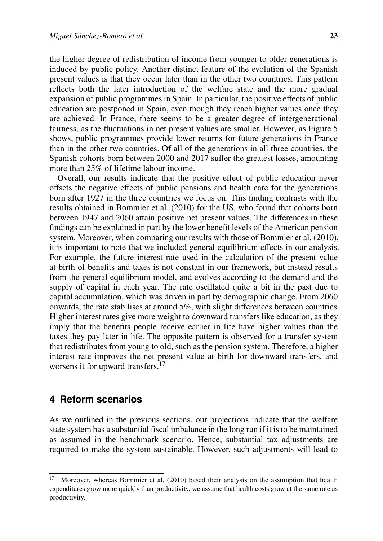the higher degree of redistribution of income from younger to older generations is induced by public policy. Another distinct feature of the evolution of the Spanish present values is that they occur later than in the other two countries. This pattern reflects both the later introduction of the welfare state and the more gradual expansion of public programmes in Spain. In particular, the positive effects of public education are postponed in Spain, even though they reach higher values once they are achieved. In France, there seems to be a greater degree of intergenerational fairness, as the fluctuations in net present values are smaller. However, as Figure [5](#page-13-0) shows, public programmes provide lower returns for future generations in France than in the other two countries. Of all of the generations in all three countries, the Spanish cohorts born between 2000 and 2017 suffer the greatest losses, amounting more than 25% of lifetime labour income.

Overall, our results indicate that the positive effect of public education never offsets the negative effects of public pensions and health care for the generations born after 1927 in the three countries we focus on. This finding contrasts with the results obtained in [Bommier et al.](#page-24-3) [\(2010\)](#page-24-3) for the US, who found that cohorts born between 1947 and 2060 attain positive net present values. The differences in these findings can be explained in part by the lower benefit levels of the American pension system. Moreover, when comparing our results with those of [Bommier et al.](#page-24-3) [\(2010\)](#page-24-3), it is important to note that we included general equilibrium effects in our analysis. For example, the future interest rate used in the calculation of the present value at birth of benefits and taxes is not constant in our framework, but instead results from the general equilibrium model, and evolves according to the demand and the supply of capital in each year. The rate oscillated quite a bit in the past due to capital accumulation, which was driven in part by demographic change. From 2060 onwards, the rate stabilises at around 5%, with slight differences between countries. Higher interest rates give more weight to downward transfers like education, as they imply that the benefits people receive earlier in life have higher values than the taxes they pay later in life. The opposite pattern is observed for a transfer system that redistributes from young to old, such as the pension system. Therefore, a higher interest rate improves the net present value at birth for downward transfers, and worsens it for upward transfers.<sup>[17](#page-14-1)</sup>

### <span id="page-14-0"></span>**4 Reform scenarios**

As we outlined in the previous sections, our projections indicate that the welfare state system has a substantial fiscal imbalance in the long run if it is to be maintained as assumed in the benchmark scenario. Hence, substantial tax adjustments are required to make the system sustainable. However, such adjustments will lead to

<span id="page-14-1"></span><sup>&</sup>lt;sup>17</sup> Moreover, whereas [Bommier et al.](#page-24-3)  $(2010)$  based their analysis on the assumption that health expenditures grow more quickly than productivity, we assume that health costs grow at the same rate as productivity.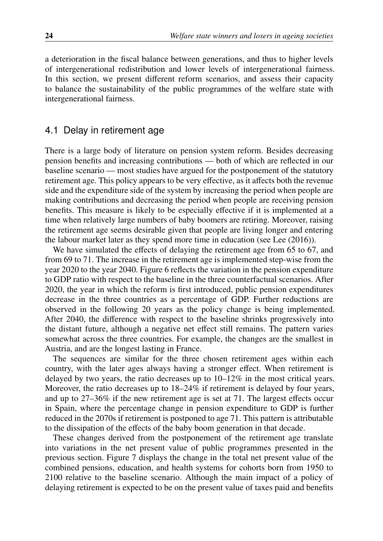a deterioration in the fiscal balance between generations, and thus to higher levels of intergenerational redistribution and lower levels of intergenerational fairness. In this section, we present different reform scenarios, and assess their capacity to balance the sustainability of the public programmes of the welfare state with intergenerational fairness.

## 4.1 Delay in retirement age

There is a large body of literature on pension system reform. Besides decreasing pension benefits and increasing contributions — both of which are reflected in our baseline scenario — most studies have argued for the postponement of the statutory retirement age. This policy appears to be very effective, as it affects both the revenue side and the expenditure side of the system by increasing the period when people are making contributions and decreasing the period when people are receiving pension benefits. This measure is likely to be especially effective if it is implemented at a time when relatively large numbers of baby boomers are retiring. Moreover, raising the retirement age seems desirable given that people are living longer and entering the labour market later as they spend more time in education (see [Lee](#page-25-11) [\(2016\)](#page-25-11)).

We have simulated the effects of delaying the retirement age from 65 to 67, and from 69 to 71. The increase in the retirement age is implemented step-wise from the year 2020 to the year 2040. Figure [6](#page-16-0) reflects the variation in the pension expenditure to GDP ratio with respect to the baseline in the three counterfactual scenarios. After 2020, the year in which the reform is first introduced, public pension expenditures decrease in the three countries as a percentage of GDP. Further reductions are observed in the following 20 years as the policy change is being implemented. After 2040, the difference with respect to the baseline shrinks progressively into the distant future, although a negative net effect still remains. The pattern varies somewhat across the three countries. For example, the changes are the smallest in Austria, and are the longest lasting in France.

The sequences are similar for the three chosen retirement ages within each country, with the later ages always having a stronger effect. When retirement is delayed by two years, the ratio decreases up to 10–12% in the most critical years. Moreover, the ratio decreases up to  $18-24\%$  if retirement is delayed by four years, and up to 27–36% if the new retirement age is set at 71. The largest effects occur in Spain, where the percentage change in pension expenditure to GDP is further reduced in the 2070s if retirement is postponed to age 71. This pattern is attributable to the dissipation of the effects of the baby boom generation in that decade.

These changes derived from the postponement of the retirement age translate into variations in the net present value of public programmes presented in the previous section. Figure [7](#page-17-0) displays the change in the total net present value of the combined pensions, education, and health systems for cohorts born from 1950 to 2100 relative to the baseline scenario. Although the main impact of a policy of delaying retirement is expected to be on the present value of taxes paid and benefits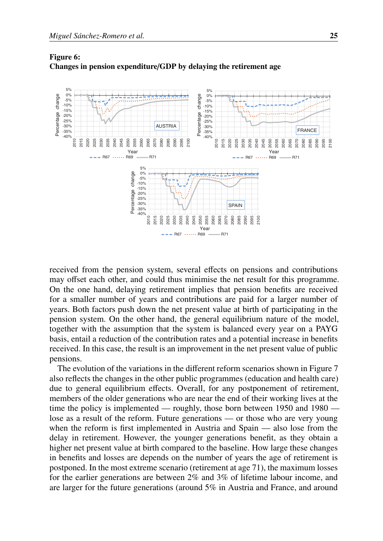

<span id="page-16-0"></span>

received from the pension system, several effects on pensions and contributions may offset each other, and could thus minimise the net result for this programme. On the one hand, delaying retirement implies that pension benefits are received for a smaller number of years and contributions are paid for a larger number of years. Both factors push down the net present value at birth of participating in the pension system. On the other hand, the general equilibrium nature of the model, together with the assumption that the system is balanced every year on a PAYG basis, entail a reduction of the contribution rates and a potential increase in benefits received. In this case, the result is an improvement in the net present value of public pensions.

The evolution of the variations in the different reform scenarios shown in Figure [7](#page-17-0) also reflects the changes in the other public programmes (education and health care) due to general equilibrium effects. Overall, for any postponement of retirement, members of the older generations who are near the end of their working lives at the time the policy is implemented — roughly, those born between 1950 and 1980 lose as a result of the reform. Future generations — or those who are very young when the reform is first implemented in Austria and Spain — also lose from the delay in retirement. However, the younger generations benefit, as they obtain a higher net present value at birth compared to the baseline. How large these changes in benefits and losses are depends on the number of years the age of retirement is postponed. In the most extreme scenario (retirement at age 71), the maximum losses for the earlier generations are between 2% and 3% of lifetime labour income, and are larger for the future generations (around 5% in Austria and France, and around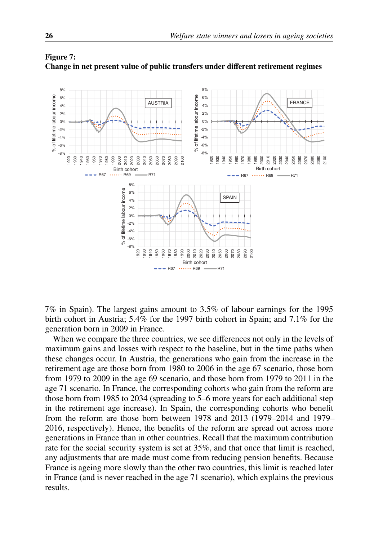

### <span id="page-17-0"></span>Figure 7: Change in net present value of public transfers under different retirement regimes

7% in Spain). The largest gains amount to 3.5% of labour earnings for the 1995 birth cohort in Austria; 5.4% for the 1997 birth cohort in Spain; and 7.1% for the generation born in 2009 in France.

When we compare the three countries, we see differences not only in the levels of maximum gains and losses with respect to the baseline, but in the time paths when these changes occur. In Austria, the generations who gain from the increase in the retirement age are those born from 1980 to 2006 in the age 67 scenario, those born from 1979 to 2009 in the age 69 scenario, and those born from 1979 to 2011 in the age 71 scenario. In France, the corresponding cohorts who gain from the reform are those born from 1985 to 2034 (spreading to 5–6 more years for each additional step in the retirement age increase). In Spain, the corresponding cohorts who benefit from the reform are those born between 1978 and 2013 (1979–2014 and 1979– 2016, respectively). Hence, the benefits of the reform are spread out across more generations in France than in other countries. Recall that the maximum contribution rate for the social security system is set at 35%, and that once that limit is reached, any adjustments that are made must come from reducing pension benefits. Because France is ageing more slowly than the other two countries, this limit is reached later in France (and is never reached in the age 71 scenario), which explains the previous results.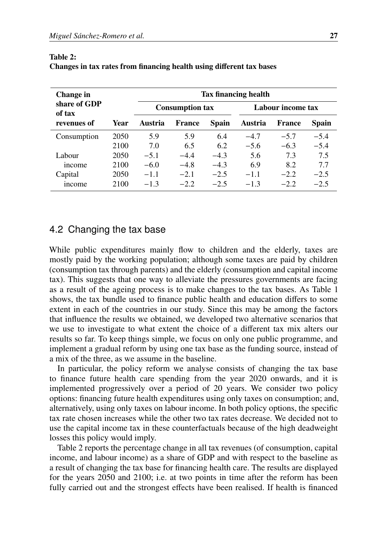| Change in              |      | Tax financing health |                        |        |                   |        |        |  |  |  |
|------------------------|------|----------------------|------------------------|--------|-------------------|--------|--------|--|--|--|
| share of GDP<br>of tax |      |                      | <b>Consumption tax</b> |        | Labour income tax |        |        |  |  |  |
| revenues of            | Year | Austria              | France                 | Spain  | Austria           | France | Spain  |  |  |  |
| Consumption            | 2050 | 5.9                  | 5.9                    | 6.4    | $-4.7$            | $-5.7$ | $-5.4$ |  |  |  |
|                        | 2100 | 7.0                  | 6.5                    | 6.2    | $-5.6$            | $-6.3$ | $-5.4$ |  |  |  |
| Labour                 | 2050 | $-5.1$               | $-4.4$                 | $-4.3$ | 5.6               | 7.3    | 7.5    |  |  |  |
| income                 | 2100 | $-6.0$               | $-4.8$                 | $-4.3$ | 6.9               | 8.2    | 7.7    |  |  |  |
| Capital                | 2050 | $-1.1$               | $-2.1$                 | $-2.5$ | $-1.1$            | $-2.2$ | $-2.5$ |  |  |  |
| <i>n</i> come          | 2100 | $-1.3$               | $-2.2$                 | $-2.5$ | $-1.3$            | $-2.2$ | $-2.5$ |  |  |  |

#### <span id="page-18-1"></span>Table 2:

| Changes in tax rates from financing health using different tax bases |  |  |  |  |
|----------------------------------------------------------------------|--|--|--|--|
|                                                                      |  |  |  |  |

## <span id="page-18-0"></span>4.2 Changing the tax base

While public expenditures mainly flow to children and the elderly, taxes are mostly paid by the working population; although some taxes are paid by children (consumption tax through parents) and the elderly (consumption and capital income tax). This suggests that one way to alleviate the pressures governments are facing as a result of the ageing process is to make changes to the tax bases. As Table [1](#page-7-0) shows, the tax bundle used to finance public health and education differs to some extent in each of the countries in our study. Since this may be among the factors that influence the results we obtained, we developed two alternative scenarios that we use to investigate to what extent the choice of a different tax mix alters our results so far. To keep things simple, we focus on only one public programme, and implement a gradual reform by using one tax base as the funding source, instead of a mix of the three, as we assume in the baseline.

In particular, the policy reform we analyse consists of changing the tax base to finance future health care spending from the year 2020 onwards, and it is implemented progressively over a period of 20 years. We consider two policy options: financing future health expenditures using only taxes on consumption; and, alternatively, using only taxes on labour income. In both policy options, the specific tax rate chosen increases while the other two tax rates decrease. We decided not to use the capital income tax in these counterfactuals because of the high deadweight losses this policy would imply.

Table [2](#page-18-1) reports the percentage change in all tax revenues (of consumption, capital income, and labour income) as a share of GDP and with respect to the baseline as a result of changing the tax base for financing health care. The results are displayed for the years 2050 and 2100; i.e. at two points in time after the reform has been fully carried out and the strongest effects have been realised. If health is financed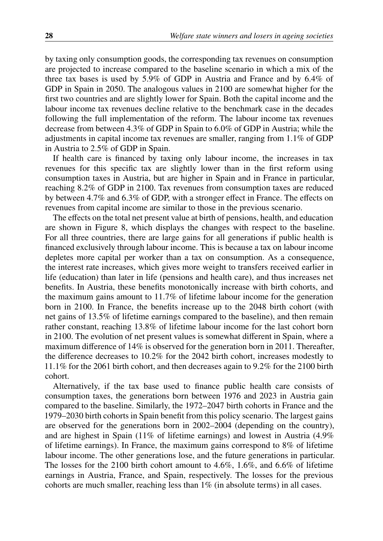by taxing only consumption goods, the corresponding tax revenues on consumption are projected to increase compared to the baseline scenario in which a mix of the three tax bases is used by 5.9% of GDP in Austria and France and by 6.4% of GDP in Spain in 2050. The analogous values in 2100 are somewhat higher for the first two countries and are slightly lower for Spain. Both the capital income and the labour income tax revenues decline relative to the benchmark case in the decades following the full implementation of the reform. The labour income tax revenues decrease from between 4.3% of GDP in Spain to 6.0% of GDP in Austria; while the adjustments in capital income tax revenues are smaller, ranging from 1.1% of GDP in Austria to 2.5% of GDP in Spain.

If health care is financed by taxing only labour income, the increases in tax revenues for this specific tax are slightly lower than in the first reform using consumption taxes in Austria, but are higher in Spain and in France in particular, reaching 8.2% of GDP in 2100. Tax revenues from consumption taxes are reduced by between 4.7% and 6.3% of GDP, with a stronger effect in France. The effects on revenues from capital income are similar to those in the previous scenario.

The effects on the total net present value at birth of pensions, health, and education are shown in Figure [8,](#page-20-0) which displays the changes with respect to the baseline. For all three countries, there are large gains for all generations if public health is financed exclusively through labour income. This is because a tax on labour income depletes more capital per worker than a tax on consumption. As a consequence, the interest rate increases, which gives more weight to transfers received earlier in life (education) than later in life (pensions and health care), and thus increases net benefits. In Austria, these benefits monotonically increase with birth cohorts, and the maximum gains amount to 11.7% of lifetime labour income for the generation born in 2100. In France, the benefits increase up to the 2048 birth cohort (with net gains of 13.5% of lifetime earnings compared to the baseline), and then remain rather constant, reaching 13.8% of lifetime labour income for the last cohort born in 2100. The evolution of net present values is somewhat different in Spain, where a maximum difference of 14% is observed for the generation born in 2011. Thereafter, the difference decreases to 10.2% for the 2042 birth cohort, increases modestly to 11.1% for the 2061 birth cohort, and then decreases again to 9.2% for the 2100 birth cohort.

Alternatively, if the tax base used to finance public health care consists of consumption taxes, the generations born between 1976 and 2023 in Austria gain compared to the baseline. Similarly, the 1972–2047 birth cohorts in France and the 1979–2030 birth cohorts in Spain benefit from this policy scenario. The largest gains are observed for the generations born in 2002–2004 (depending on the country), and are highest in Spain (11% of lifetime earnings) and lowest in Austria (4.9% of lifetime earnings). In France, the maximum gains correspond to 8% of lifetime labour income. The other generations lose, and the future generations in particular. The losses for the 2100 birth cohort amount to 4.6%, 1.6%, and 6.6% of lifetime earnings in Austria, France, and Spain, respectively. The losses for the previous cohorts are much smaller, reaching less than  $1\%$  (in absolute terms) in all cases.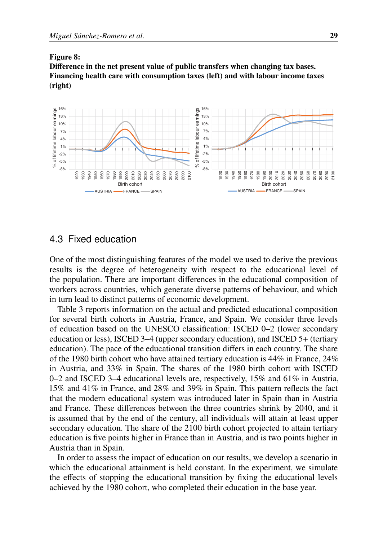#### <span id="page-20-0"></span>Figure 8: Difference in the net present value of public transfers when changing tax bases. Financing health care with consumption taxes (left) and with labour income taxes (right)



### 4.3 Fixed education

One of the most distinguishing features of the model we used to derive the previous results is the degree of heterogeneity with respect to the educational level of the population. There are important differences in the educational composition of workers across countries, which generate diverse patterns of behaviour, and which in turn lead to distinct patterns of economic development.

Table [3](#page-21-0) reports information on the actual and predicted educational composition for several birth cohorts in Austria, France, and Spain. We consider three levels of education based on the UNESCO classification: ISCED 0–2 (lower secondary education or less), ISCED 3–4 (upper secondary education), and ISCED 5+ (tertiary education). The pace of the educational transition differs in each country. The share of the 1980 birth cohort who have attained tertiary education is 44% in France, 24% in Austria, and 33% in Spain. The shares of the 1980 birth cohort with ISCED 0–2 and ISCED 3–4 educational levels are, respectively, 15% and 61% in Austria, 15% and 41% in France, and 28% and 39% in Spain. This pattern reflects the fact that the modern educational system was introduced later in Spain than in Austria and France. These differences between the three countries shrink by 2040, and it is assumed that by the end of the century, all individuals will attain at least upper secondary education. The share of the 2100 birth cohort projected to attain tertiary education is five points higher in France than in Austria, and is two points higher in Austria than in Spain.

In order to assess the impact of education on our results, we develop a scenario in which the educational attainment is held constant. In the experiment, we simulate the effects of stopping the educational transition by fixing the educational levels achieved by the 1980 cohort, who completed their education in the base year.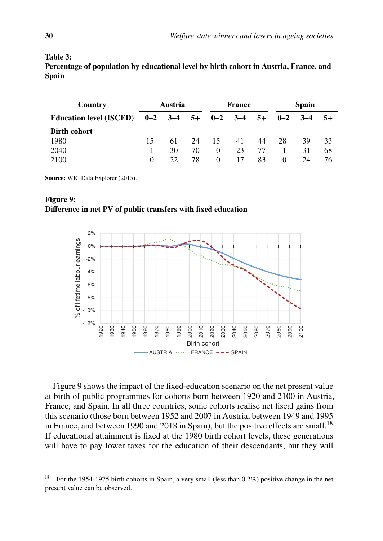| Country                                           | Austria  |     |    | <b>France</b> | <b>Spain</b> |    |          |       |      |
|---------------------------------------------------|----------|-----|----|---------------|--------------|----|----------|-------|------|
| Education level (ISCED) $0-2$ 3-4 5+ $0-2$ 3-4 5+ |          |     |    |               |              |    | $0 - 2$  | $3-4$ | $5+$ |
| <b>Birth cohort</b>                               |          |     |    |               |              |    |          |       |      |
| 1980                                              | 15       | 61  | 24 | 15            | 41           | 44 | 28       | 39    | 33   |
| 2040                                              |          | 30  | 70 | $\theta$      | 23           | 77 |          | 31    | 68   |
| 2100                                              | $\Omega$ | 22. | 78 | $\theta$      | 17           | 83 | $\Omega$ | 24    | 76   |

#### <span id="page-21-0"></span>Table 3:

Percentage of population by educational level by birth cohort in Austria, France, and Spain

Source: WIC Data Explorer (2015).



#### <span id="page-21-1"></span>Figure 9: Difference in net PV of public transfers with fixed education

Figure [9](#page-21-1) shows the impact of the fixed-education scenario on the net present value at birth of public programmes for cohorts born between 1920 and 2100 in Austria, France, and Spain. In all three countries, some cohorts realise net fiscal gains from this scenario (those born between 1952 and 2007 in Austria, between 1949 and 1995 in France, and between 1990 and 20[18](#page-21-2) in Spain), but the positive effects are small.<sup>18</sup> If educational attainment is fixed at the 1980 birth cohort levels, these generations will have to pay lower taxes for the education of their descendants, but they will

<span id="page-21-2"></span><sup>&</sup>lt;sup>18</sup> For the 1954-1975 birth cohorts in Spain, a very small (less than  $0.2\%$ ) positive change in the net present value can be observed.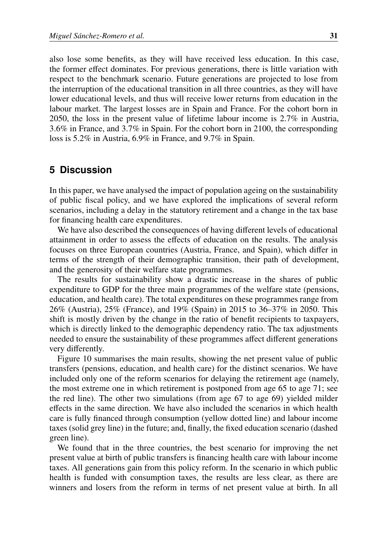also lose some benefits, as they will have received less education. In this case, the former effect dominates. For previous generations, there is little variation with respect to the benchmark scenario. Future generations are projected to lose from the interruption of the educational transition in all three countries, as they will have lower educational levels, and thus will receive lower returns from education in the labour market. The largest losses are in Spain and France. For the cohort born in 2050, the loss in the present value of lifetime labour income is 2.7% in Austria, 3.6% in France, and 3.7% in Spain. For the cohort born in 2100, the corresponding loss is 5.2% in Austria, 6.9% in France, and 9.7% in Spain.

### <span id="page-22-0"></span>**5 Discussion**

In this paper, we have analysed the impact of population ageing on the sustainability of public fiscal policy, and we have explored the implications of several reform scenarios, including a delay in the statutory retirement and a change in the tax base for financing health care expenditures.

We have also described the consequences of having different levels of educational attainment in order to assess the effects of education on the results. The analysis focuses on three European countries (Austria, France, and Spain), which differ in terms of the strength of their demographic transition, their path of development, and the generosity of their welfare state programmes.

The results for sustainability show a drastic increase in the shares of public expenditure to GDP for the three main programmes of the welfare state (pensions, education, and health care). The total expenditures on these programmes range from 26% (Austria), 25% (France), and 19% (Spain) in 2015 to 36–37% in 2050. This shift is mostly driven by the change in the ratio of benefit recipients to taxpayers, which is directly linked to the demographic dependency ratio. The tax adjustments needed to ensure the sustainability of these programmes affect different generations very differently.

Figure [10](#page-23-0) summarises the main results, showing the net present value of public transfers (pensions, education, and health care) for the distinct scenarios. We have included only one of the reform scenarios for delaying the retirement age (namely, the most extreme one in which retirement is postponed from age 65 to age 71; see the red line). The other two simulations (from age 67 to age 69) yielded milder effects in the same direction. We have also included the scenarios in which health care is fully financed through consumption (yellow dotted line) and labour income taxes (solid grey line) in the future; and, finally, the fixed education scenario (dashed green line).

We found that in the three countries, the best scenario for improving the net present value at birth of public transfers is financing health care with labour income taxes. All generations gain from this policy reform. In the scenario in which public health is funded with consumption taxes, the results are less clear, as there are winners and losers from the reform in terms of net present value at birth. In all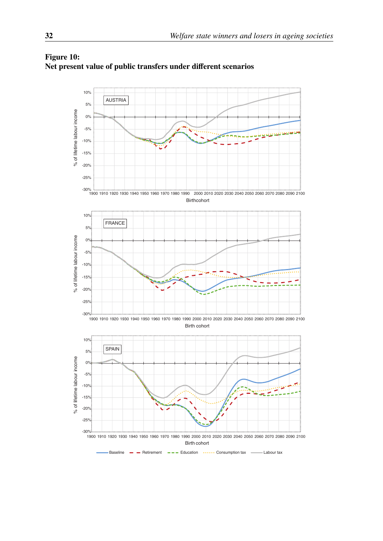

#### <span id="page-23-0"></span>Figure 10: Net present value of public transfers under different scenarios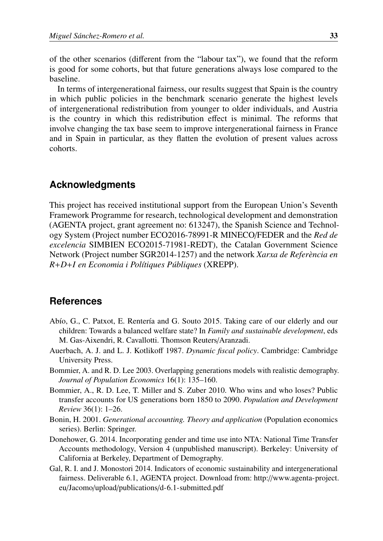of the other scenarios (different from the "labour tax"), we found that the reform is good for some cohorts, but that future generations always lose compared to the baseline.

In terms of intergenerational fairness, our results suggest that Spain is the country in which public policies in the benchmark scenario generate the highest levels of intergenerational redistribution from younger to older individuals, and Austria is the country in which this redistribution effect is minimal. The reforms that involve changing the tax base seem to improve intergenerational fairness in France and in Spain in particular, as they flatten the evolution of present values across cohorts.

## **Acknowledgments**

This project has received institutional support from the European Union's Seventh Framework Programme for research, technological development and demonstration (AGENTA project, grant agreement no: 613247), the Spanish Science and Technology System (Project number ECO2016-78991-R MINECO/FEDER and the *Red de excelencia* SIMBIEN ECO2015-71981-REDT), the Catalan Government Science Network (Project number SGR2014-1257) and the network *Xarxa de Refer`encia en R*+*D*+*I en Economia i Pol´ıtiques P´ubliques* (XREPP).

### **References**

- <span id="page-24-6"></span>Abío, G., C. Patxot, E. Rentería and G. Souto 2015. Taking care of our elderly and our children: Towards a balanced welfare state? In *Family and sustainable development*, eds M. Gas-Aixendri, R. Cavallotti. Thomson Reuters/Aranzadi.
- <span id="page-24-5"></span>Auerbach, A. J. and L. J. Kotlikoff 1987. *Dynamic fiscal policy*. Cambridge: Cambridge University Press.
- <span id="page-24-0"></span>Bommier, A. and R. D. Lee 2003. Overlapping generations models with realistic demography. *Journal of Population Economics* 16(1): 135–160.
- <span id="page-24-3"></span>Bommier, A., R. D. Lee, T. Miller and S. Zuber 2010. Who wins and who loses? Public transfer accounts for US generations born 1850 to 2090. *Population and Development Review* 36(1): 1–26.
- <span id="page-24-4"></span>Bonin, H. 2001. *Generational accounting. Theory and application* (Population economics series). Berlin: Springer.
- <span id="page-24-2"></span>Donehower, G. 2014. Incorporating gender and time use into NTA: National Time Transfer Accounts methodology, Version 4 (unpublished manuscript). Berkeley: University of California at Berkeley, Department of Demography.
- <span id="page-24-1"></span>Gal, R. I. and J. Monostori 2014. Indicators of economic sustainability and intergenerational fairness. Deliverable 6.1, AGENTA project. Download from: http://[www.agenta-project.](http://www.agenta-project.eu/Jacomo/upload/publications/d-6.1-submitted.pdf) eu/Jacomo/upload/publications/[d-6.1-submitted.pdf](http://www.agenta-project.eu/Jacomo/upload/publications/d-6.1-submitted.pdf)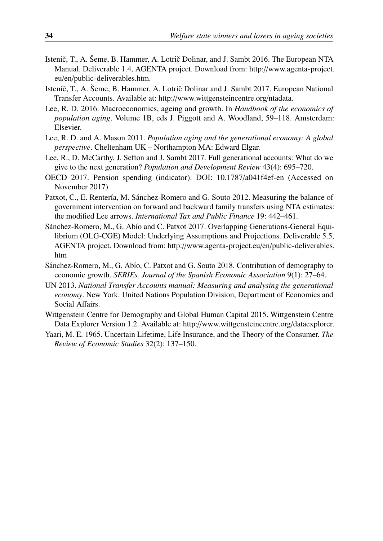- <span id="page-25-6"></span>Istenič. T., A. Šeme, B. Hammer, A. Lotrič Dolinar, and J. Sambt 2016. The European NTA Manual. Deliverable 1.4, AGENTA project. Download from: http://[www.agenta-project.](http://www.agenta-project.eu/en/public-deliverables.htm) eu/en/[public-deliverables.htm.](http://www.agenta-project.eu/en/public-deliverables.htm)
- <span id="page-25-7"></span>Istenič, T., A. Šeme, B. Hammer, A. Lotrič Dolinar and J. Sambt 2017. European National Transfer Accounts. Available at: http://[www.wittgensteincentre.org](http://www.wittgensteincentre.org/ntadata)/ntadata.
- <span id="page-25-11"></span>Lee, R. D. 2016. Macroeconomics, ageing and growth. In *Handbook of the economics of population aging*. Volume 1B, eds J. Piggott and A. Woodland, 59–118. Amsterdam: Elsevier.
- <span id="page-25-0"></span>Lee, R. D. and A. Mason 2011. *Population aging and the generational economy: A global perspective*. Cheltenham UK – Northampton MA: Edward Elgar.
- <span id="page-25-2"></span>Lee, R., D. McCarthy, J. Sefton and J. Sambt 2017. Full generational accounts: What do we give to the next generation? *Population and Development Review* 43(4): 695–720.
- <span id="page-25-9"></span>OECD 2017. Pension spending (indicator). DOI: 10.1787/[a041f4ef-en](http://dx.doi.org/10.1787/a041f4ef-en) (Accessed on November 2017)
- <span id="page-25-10"></span>Patxot, C., E. Rentería, M. Sánchez-Romero and G. Souto 2012. Measuring the balance of government intervention on forward and backward family transfers using NTA estimates: the modified Lee arrows. *International Tax and Public Finance* 19: 442–461.
- <span id="page-25-1"></span>Sánchez-Romero, M., G. Abío and C. Patxot 2017. Overlapping Generations-General Equilibrium (OLG-CGE) Model: Underlying Assumptions and Projections. Deliverable 5.5, AGENTA project. Download from: http://[www.agenta-project.eu](http://www.agenta-project.eu/en/public-deliverables.htm)/en/public-deliverables. [htm](http://www.agenta-project.eu/en/public-deliverables.htm)
- <span id="page-25-5"></span>Sánchez-Romero, M., G. Abío, C. Patxot and G. Souto 2018. Contribution of demography to economic growth. *SERIEs. Journal of the Spanish Economic Association* 9(1): 27–64.
- <span id="page-25-3"></span>UN 2013. *National Transfer Accounts manual: Measuring and analysing the generational economy*. New York: United Nations Population Division, Department of Economics and Social Affairs.
- <span id="page-25-8"></span>Wittgenstein Centre for Demography and Global Human Capital 2015. Wittgenstein Centre Data Explorer Version 1.2. Available at: http://[www.wittgensteincentre.org](http://www.wittgensteincentre.org/dataexplorer)/dataexplorer.
- <span id="page-25-4"></span>Yaari, M. E. 1965. Uncertain Lifetime, Life Insurance, and the Theory of the Consumer. *The Review of Economic Studies* 32(2): 137–150.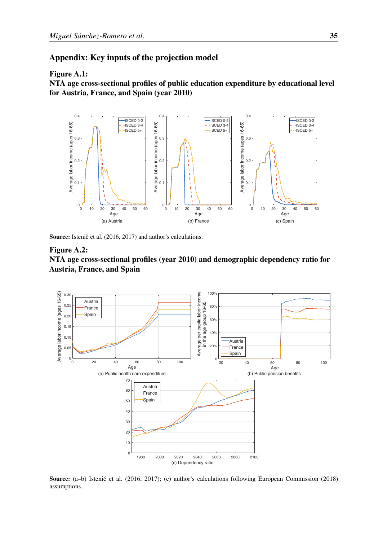## <span id="page-26-1"></span>Appendix: Key inputs of the projection model

#### Figure A.1:

NTA age cross-sectional profiles of public education expenditure by educational level for Austria, France, and Spain (year 2010)



Source: Istenič et al. (2016, 2017) and author's calculations.

#### <span id="page-26-0"></span>Figure A.2:

#### NTA age cross-sectional profiles (year 2010) and demographic dependency ratio for Austria, France, and Spain



Source: (a-b) Istenič et al. (2016, 2017); (c) author's calculations following European Commission (2018) assumptions.